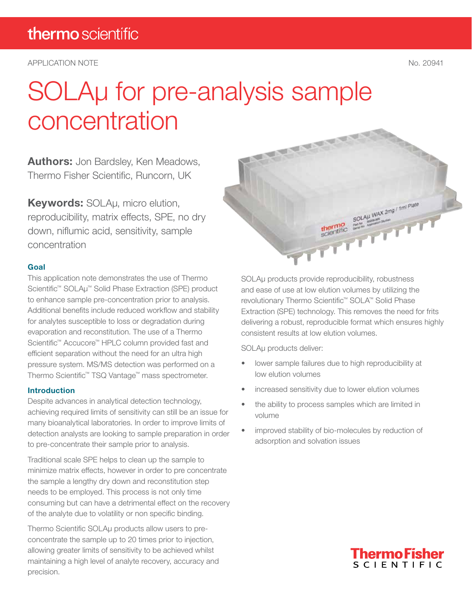APPLICATION NOTE No. 20941

# SOLAµ for pre-analysis sample concentration

**Authors:** Jon Bardsley, Ken Meadows, Thermo Fisher Scientific, Runcorn, UK

Keywords: SOLAµ, micro elution, reproducibility, matrix effects, SPE, no dry down, niflumic acid, sensitivity, sample concentration

#### Goal

This application note demonstrates the use of Thermo Scientific<sup>™</sup> SOLAµ<sup>™</sup> Solid Phase Extraction (SPE) product to enhance sample pre-concentration prior to analysis. Additional benefits include reduced workflow and stability for analytes susceptible to loss or degradation during evaporation and reconstitution. The use of a Thermo Scientific™ Accucore™ HPLC column provided fast and efficient separation without the need for an ultra high pressure system. MS/MS detection was performed on a Thermo Scientific™ TSQ Vantage™ mass spectrometer.

#### Introduction

Despite advances in analytical detection technology, achieving required limits of sensitivity can still be an issue for many bioanalytical laboratories. In order to improve limits of detection analysts are looking to sample preparation in order to pre-concentrate their sample prior to analysis.

Traditional scale SPE helps to clean up the sample to minimize matrix effects, however in order to pre concentrate the sample a lengthy dry down and reconstitution step needs to be employed. This process is not only time consuming but can have a detrimental effect on the recovery of the analyte due to volatility or non specific binding.

Thermo Scientific SOLAµ products allow users to preconcentrate the sample up to 20 times prior to injection, allowing greater limits of sensitivity to be achieved whilst maintaining a high level of analyte recovery, accuracy and precision.



and ease of use at low elution volumes by utilizing the revolutionary Thermo Scientific™ SOLA™ Solid Phase Extraction (SPE) technology. This removes the need for frits delivering a robust, reproducible format which ensures highly consistent results at low elution volumes.

SOLAu products deliver:

**CALL** 

- lower sample failures due to high reproducibility at low elution volumes
- increased sensitivity due to lower elution volumes
- the ability to process samples which are limited in volume
- improved stability of bio-molecules by reduction of adsorption and solvation issues

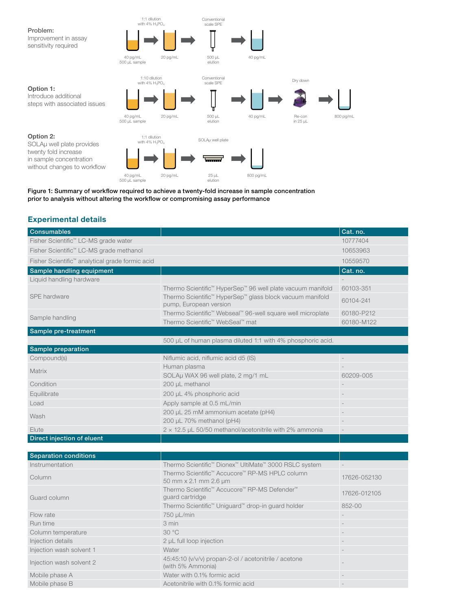

Figure 1: Summary of workflow required to achieve a twenty-fold increase in sample concentration prior to analysis without altering the workflow or compromising assay performance

#### Experimental details

| Consumables                                         |                                                                                                                       | Cat. no.                 |
|-----------------------------------------------------|-----------------------------------------------------------------------------------------------------------------------|--------------------------|
| Fisher Scientific <sup>™</sup> LC-MS grade water    |                                                                                                                       | 10777404                 |
| Fisher Scientific <sup>™</sup> LC-MS grade methanol |                                                                                                                       | 10653963                 |
| Fisher Scientific™ analytical grade formic acid     |                                                                                                                       | 10559570                 |
| Sample handling equipment                           |                                                                                                                       | Cat. no.                 |
| Liquid handling hardware                            |                                                                                                                       |                          |
|                                                     | Thermo Scientific <sup>™</sup> HyperSep <sup>™</sup> 96 well plate vacuum manifold                                    | 60103-351                |
| SPE hardware                                        | Thermo Scientific <sup>™</sup> HyperSep <sup>™</sup> glass block vacuum manifold<br>pump, European version            | 60104-241                |
| Sample handling                                     | Thermo Scientific <sup>™</sup> Webseal <sup>™</sup> 96-well square well microplate<br>Thermo Scientific™ WebSeal™ mat | 60180-P212<br>60180-M122 |
| Sample pre-treatment                                |                                                                                                                       |                          |
|                                                     | 500 µL of human plasma diluted 1:1 with 4% phosphoric acid.                                                           |                          |
| Sample preparation                                  |                                                                                                                       |                          |
| Compound(s)                                         | Niflumic acid, niflumic acid d5 (IS)                                                                                  | $\overline{\phantom{a}}$ |
| <b>Matrix</b>                                       | Human plasma                                                                                                          |                          |
|                                                     | SOLAµ WAX 96 well plate, 2 mg/1 mL                                                                                    | 60209-005                |
| Condition                                           | 200 µL methanol                                                                                                       |                          |
| Equilibrate                                         | 200 µL 4% phosphoric acid                                                                                             |                          |
| Load                                                | Apply sample at 0.5 mL/min                                                                                            |                          |
| Wash                                                | 200 µL 25 mM ammonium acetate (pH4)                                                                                   |                          |
|                                                     | 200 µL 70% methanol (pH4)                                                                                             |                          |
| Elute                                               | 2 x 12.5 µL 50/50 methanol/acetonitrile with 2% ammonia                                                               | $\frac{1}{2}$            |
| Direct injection of eluent                          |                                                                                                                       |                          |
|                                                     |                                                                                                                       |                          |
| <b>Separation conditions</b>                        |                                                                                                                       |                          |
| Instrumentation                                     | Thermo Scientific <sup>™</sup> Dionex <sup>™</sup> UltiMate <sup>™</sup> 3000 RSLC system                             |                          |
| Column                                              | Thermo Scientific™ Accucore™ RP-MS HPLC column<br>50 mm x 2.1 mm 2.6 µm                                               | 17626-052130             |
| Guard column                                        | Thermo Scientific <sup>™</sup> Accucore™ RP-MS Defender™<br>guard cartridge                                           | 17626-012105             |
|                                                     | Thermo Scientific <sup>™</sup> Uniguard™ drop-in guard holder                                                         | 852-00                   |
| Flow rate                                           | 750 µL/min                                                                                                            |                          |
| Run time                                            | 3 min                                                                                                                 |                          |
| Column temperature                                  | 30°C                                                                                                                  |                          |
| Injection details                                   | 2 µL full loop injection                                                                                              |                          |
| Injection wash solvent 1                            | Water                                                                                                                 |                          |
| Injection wash solvent 2                            | 45:45:10 (v/v/v) propan-2-ol / acetonitrile / acetone<br>(with 5% Ammonia)                                            |                          |
| Mobile phase A                                      | Water with 0.1% formic acid                                                                                           |                          |
| Mobile phase B                                      | Acetonitrile with 0.1% formic acid                                                                                    |                          |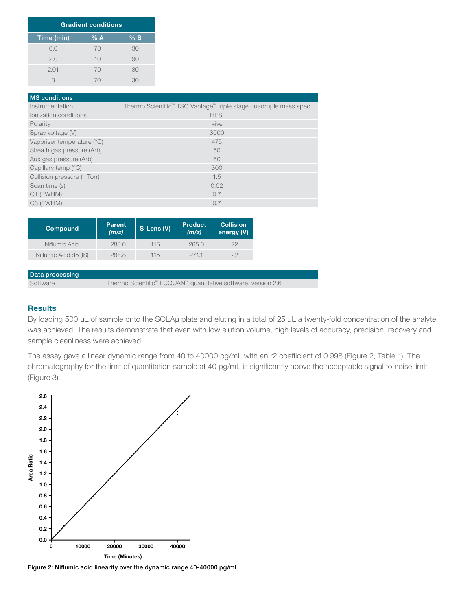| <b>Gradient conditions</b> |     |       |
|----------------------------|-----|-------|
| Time (min)                 | % A | $%$ B |
| 0.0                        | 70  | 30    |
| 2.0                        | 10  | 90    |
| 2.01                       | 70  | 30    |
| З                          | 70  | 30    |

| <b>MS</b> conditions       |                                                                              |
|----------------------------|------------------------------------------------------------------------------|
| Instrumentation            | Thermo Scientific <sup>™</sup> TSQ Vantage™ triple stage quadruple mass spec |
| Ionization conditions      | <b>HESI</b>                                                                  |
| Polarity                   | $+ive$                                                                       |
| Spray voltage (V)          | 3000                                                                         |
| Vaporiser temperature (°C) | 475                                                                          |
| Sheath gas pressure (Arb)  | 50                                                                           |
| Aux gas pressure (Arb)     | 60                                                                           |
| Capillary temp (°C)        | 300                                                                          |
| Collision pressure (mTorr) | 1.5                                                                          |
| Scan time (s)              | 0.02                                                                         |
| Q1 (FWHM)                  | 0.7                                                                          |
| Q3 (FWHM)                  | 0.7                                                                          |

| <b>Compound</b>       | <b>Parent</b><br>(m/z) | S-Lens (V) | <b>Product</b><br>(m/z) | <b>Collision</b><br>energy (V) |
|-----------------------|------------------------|------------|-------------------------|--------------------------------|
| Niflumic Acid         | 283.0                  | 115        | 265.0                   | 22                             |
| Niflumic Acid d5 (IS) | 288.8                  | 115        | 271.1                   | つつ                             |

#### Data processing

Software Thermo Scientific™ LCQUAN™ quantitative software, version 2.6

#### **Results**

By loading 500 µL of sample onto the SOLAµ plate and eluting in a total of 25 µL a twenty-fold concentration of the analyte was achieved. The results demonstrate that even with low elution volume, high levels of accuracy, precision, recovery and sample cleanliness were achieved.

The assay gave a linear dynamic range from 40 to 40000 pg/mL with an r2 coefficient of 0.998 (Figure 2, Table 1). The chromatography for the limit of quantitation sample at 40 pg/mL is significantly above the acceptable signal to noise limit (Figure 3).



Figure 2: Niflumic acid linearity over the dynamic range 40-40000 pg/mL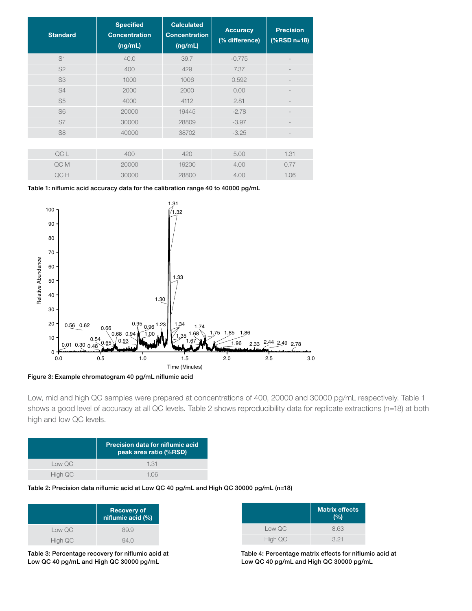| <b>Standard</b> | <b>Specified</b><br><b>Concentration</b><br>(ng/mL) | <b>Calculated</b><br><b>Concentration</b><br>(ng/mL) | <b>Accuracy</b><br>(% difference) | <b>Precision</b><br>$(%$ (%RSD n=18) |
|-----------------|-----------------------------------------------------|------------------------------------------------------|-----------------------------------|--------------------------------------|
| S <sub>1</sub>  | 40.0                                                | 39.7                                                 | $-0.775$                          |                                      |
| S <sub>2</sub>  | 400                                                 | 429                                                  | 7.37                              |                                      |
| S <sub>3</sub>  | 1000                                                | 1006                                                 | 0.592                             |                                      |
| S4              | 2000                                                | 2000                                                 | 0.00                              |                                      |
| S <sub>5</sub>  | 4000                                                | 4112                                                 | 2.81                              |                                      |
| S <sub>6</sub>  | 20000                                               | 19445                                                | $-2.78$                           |                                      |
| S7              | 30000                                               | 28809                                                | $-3.97$                           |                                      |
| S <sub>8</sub>  | 40000                                               | 38702                                                | $-3.25$                           |                                      |
|                 |                                                     |                                                      |                                   |                                      |
| QC L            | 400                                                 | 420                                                  | 5.00                              | 1.31                                 |
| QC M            | 20000                                               | 19200                                                | 4.00                              | 0.77                                 |
| QC H            | 30000                                               | 28800                                                | 4.00                              | 1.06                                 |

Table 1: niflumic acid accuracy data for the calibration range 40 to 40000 pg/mL



Low, mid and high QC samples were prepared at concentrations of 400, 20000 and 30000 pg/mL respectively. Table 1 shows a good level of accuracy at all QC levels. Table 2 shows reproducibility data for replicate extractions (n=18) at both high and low QC levels.

|         | <b>Precision data for niflumic acid</b><br>peak area ratio (%RSD) |
|---------|-------------------------------------------------------------------|
| Low QC  | 1.31                                                              |
| High QC | 106                                                               |

Table 2: Precision data niflumic acid at Low QC 40 pg/mL and High QC 30000 pg/mL (n=18)

|         | <b>Recovery of</b><br>niflumic acid (%) |
|---------|-----------------------------------------|
| Low QC  | 89.9                                    |
| High QC | 94 N                                    |

Table 3: Percentage recovery for niflumic acid at Low QC 40 pg/mL and High QC 30000 pg/mL

|         | <b>Matrix effects</b><br>(%) |
|---------|------------------------------|
| Low QC  | 8.63                         |
| High QC | 3.21                         |

Table 4: Percentage matrix effects for niflumic acid at Low QC 40 pg/mL and High QC 30000 pg/mL